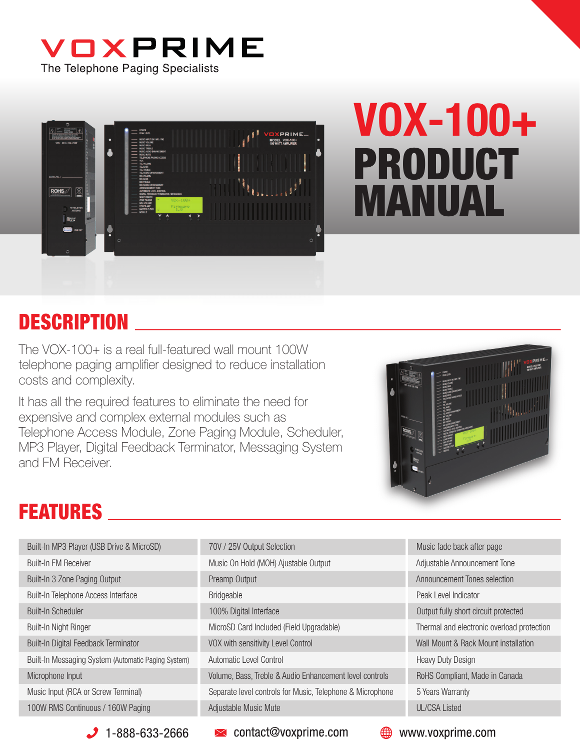



# VOX-100+ PRODUCT MANUAL

## **DESCRIPTION**

The VOX-100+ is a real full-featured wall mount 100W telephone paging amplifier designed to reduce installation costs and complexity.

It has all the required features to eliminate the need for expensive and complex external modules such as Telephone Access Module, Zone Paging Module, Scheduler, MP3 Player, Digital Feedback Terminator, Messaging System and FM Receiver.



## FEATURES

| Built-In MP3 Player (USB Drive & MicroSD)           | 70V / 25V Output Selection                                | Music fade back after page                 |
|-----------------------------------------------------|-----------------------------------------------------------|--------------------------------------------|
| <b>Built-In FM Receiver</b>                         | Music On Hold (MOH) Ajustable Output                      | Adjustable Announcement Tone               |
| Built-In 3 Zone Paging Output                       | Preamp Output                                             | Announcement Tones selection               |
| Built-In Telephone Access Interface                 | Bridgeable                                                | Peak Level Indicator                       |
| <b>Built-In Scheduler</b>                           | 100% Digital Interface                                    | Output fully short circuit protected       |
| Built-In Night Ringer                               | MicroSD Card Included (Field Upgradable)                  | Thermal and electronic overload protection |
| Built-In Digital Feedback Terminator                | VOX with sensitivity Level Control                        | Wall Mount & Rack Mount installation       |
| Built-In Messaging System (Automatic Paging System) | Automatic Level Control                                   | <b>Heavy Duty Design</b>                   |
| Microphone Input                                    | Volume, Bass, Treble & Audio Enhancement level controls   | RoHS Compliant, Made in Canada             |
| Music Input (RCA or Screw Terminal)                 | Separate level controls for Music, Telephone & Microphone | 5 Years Warranty                           |
| 100W RMS Continuous / 160W Paging                   | Adjustable Music Mute                                     | <b>UL/CSA Listed</b>                       |

 $\bigcup$  1-888-633-2666

 $\blacktriangleright$  contact@voxprime.com

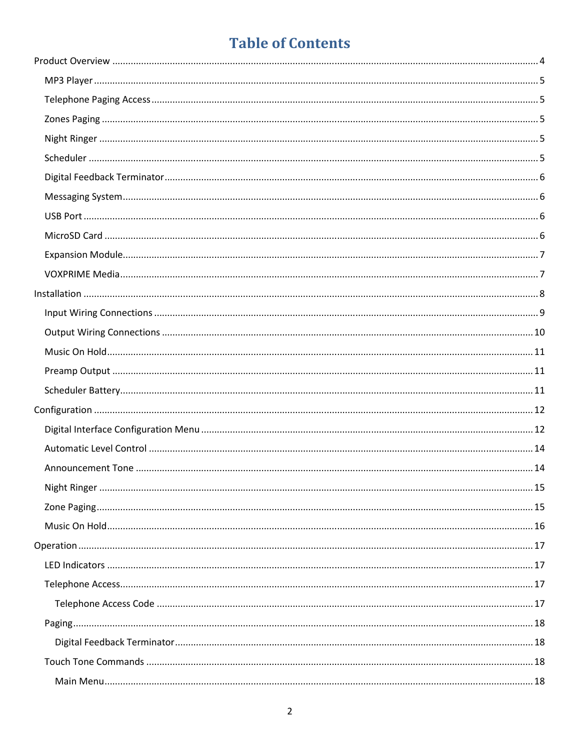## **Table of Contents**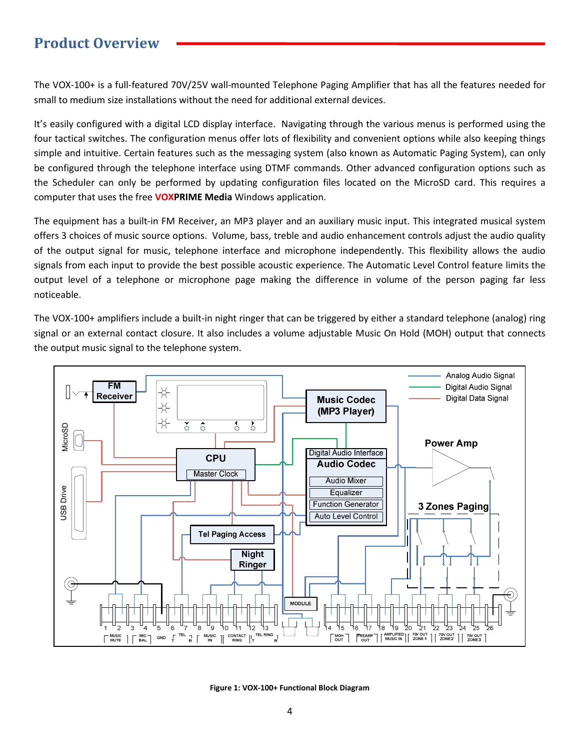### Product Overview

The VOX-100+ is a full-featured 70V/25V wall-mounted Telephone Paging Amplifier that has all the features needed for small to medium size installations without the need for additional external devices.

It's easily configured with a digital LCD display interface. Navigating through the various menus is performed using the four tactical switches. The configuration menus offer lots of flexibility and convenient options while also keeping things simple and intuitive. Certain features such as the messaging system (also known as Automatic Paging System), can only be configured through the telephone interface using DTMF commands. Other advanced configuration options such as the Scheduler can only be performed by updating configuration files located on the MicroSD card. This requires a computer that uses the free **VOXPRIME Media** Windows application.

The equipment has a built-in FM Receiver, an MP3 player and an auxiliary music input. This integrated musical system offers 3 choices of music source options. Volume, bass, treble and audio enhancement controls adjust the audio quality of the output signal for music, telephone interface and microphone independently. This flexibility allows the audio signals from each input to provide the best possible acoustic experience. The Automatic Level Control feature limits the output level of a telephone or microphone page making the difference in volume of the person paging far less noticeable.

The VOX-100+ amplifiers include a built-in night ringer that can be triggered by either a standard telephone (analog) ring signal or an external contact closure. It also includes a volume adjustable Music On Hold (MOH) output that connects the output music signal to the telephone system.



Figure 1: VOX-100+ Functional Block Diagram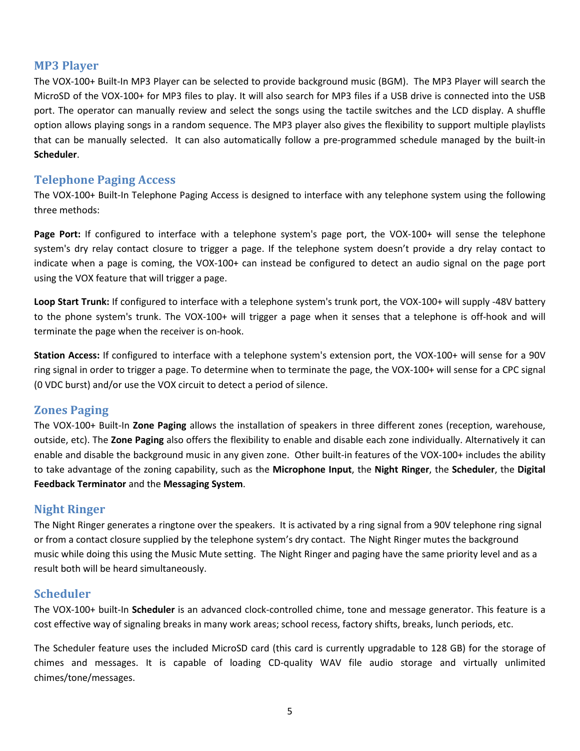#### MP3 Player

The VOX-100+ Built-In MP3 Player can be selected to provide background music (BGM). The MP3 Player will search the MicroSD of the VOX-100+ for MP3 files to play. It will also search for MP3 files if a USB drive is connected into the USB port. The operator can manually review and select the songs using the tactile switches and the LCD display. A shuffle option allows playing songs in a random sequence. The MP3 player also gives the flexibility to support multiple playlists that can be manually selected. It can also automatically follow a pre-programmed schedule managed by the built-in Scheduler.

#### Telephone Paging Access

The VOX-100+ Built-In Telephone Paging Access is designed to interface with any telephone system using the following three methods:

Page Port: If configured to interface with a telephone system's page port, the VOX-100+ will sense the telephone system's dry relay contact closure to trigger a page. If the telephone system doesn't provide a dry relay contact to indicate when a page is coming, the VOX-100+ can instead be configured to detect an audio signal on the page port using the VOX feature that will trigger a page.

Loop Start Trunk: If configured to interface with a telephone system's trunk port, the VOX-100+ will supply -48V battery to the phone system's trunk. The VOX-100+ will trigger a page when it senses that a telephone is off-hook and will terminate the page when the receiver is on-hook.

Station Access: If configured to interface with a telephone system's extension port, the VOX-100+ will sense for a 90V ring signal in order to trigger a page. To determine when to terminate the page, the VOX-100+ will sense for a CPC signal (0 VDC burst) and/or use the VOX circuit to detect a period of silence.

#### Zones Paging

The VOX-100+ Built-In Zone Paging allows the installation of speakers in three different zones (reception, warehouse, outside, etc). The Zone Paging also offers the flexibility to enable and disable each zone individually. Alternatively it can enable and disable the background music in any given zone. Other built-in features of the VOX-100+ includes the ability to take advantage of the zoning capability, such as the Microphone Input, the Night Ringer, the Scheduler, the Digital Feedback Terminator and the Messaging System.

#### Night Ringer

The Night Ringer generates a ringtone over the speakers. It is activated by a ring signal from a 90V telephone ring signal or from a contact closure supplied by the telephone system's dry contact. The Night Ringer mutes the background music while doing this using the Music Mute setting. The Night Ringer and paging have the same priority level and as a result both will be heard simultaneously.

#### Scheduler

The VOX-100+ built-In Scheduler is an advanced clock-controlled chime, tone and message generator. This feature is a cost effective way of signaling breaks in many work areas; school recess, factory shifts, breaks, lunch periods, etc.

The Scheduler feature uses the included MicroSD card (this card is currently upgradable to 128 GB) for the storage of chimes and messages. It is capable of loading CD-quality WAV file audio storage and virtually unlimited chimes/tone/messages.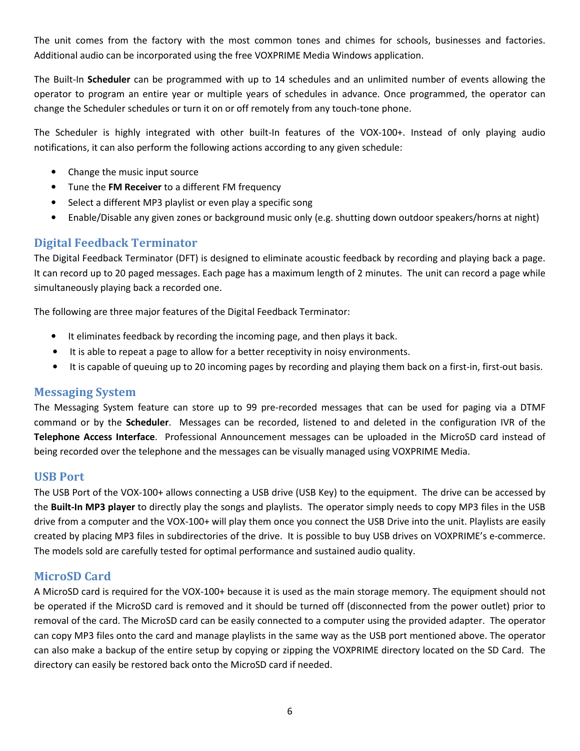The unit comes from the factory with the most common tones and chimes for schools, businesses and factories. Additional audio can be incorporated using the free VOXPRIME Media Windows application.

The Built-In Scheduler can be programmed with up to 14 schedules and an unlimited number of events allowing the operator to program an entire year or multiple years of schedules in advance. Once programmed, the operator can change the Scheduler schedules or turn it on or off remotely from any touch-tone phone.

The Scheduler is highly integrated with other built-In features of the VOX-100+. Instead of only playing audio notifications, it can also perform the following actions according to any given schedule:

- Change the music input source
- Tune the FM Receiver to a different FM frequency
- Select a different MP3 playlist or even play a specific song
- Enable/Disable any given zones or background music only (e.g. shutting down outdoor speakers/horns at night)

#### Digital Feedback Terminator

The Digital Feedback Terminator (DFT) is designed to eliminate acoustic feedback by recording and playing back a page. It can record up to 20 paged messages. Each page has a maximum length of 2 minutes. The unit can record a page while simultaneously playing back a recorded one.

The following are three major features of the Digital Feedback Terminator:

- It eliminates feedback by recording the incoming page, and then plays it back.
- It is able to repeat a page to allow for a better receptivity in noisy environments.
- It is capable of queuing up to 20 incoming pages by recording and playing them back on a first-in, first-out basis.

#### Messaging System

The Messaging System feature can store up to 99 pre-recorded messages that can be used for paging via a DTMF command or by the Scheduler. Messages can be recorded, listened to and deleted in the configuration IVR of the Telephone Access Interface. Professional Announcement messages can be uploaded in the MicroSD card instead of being recorded over the telephone and the messages can be visually managed using VOXPRIME Media.

#### USB Port

The USB Port of the VOX-100+ allows connecting a USB drive (USB Key) to the equipment. The drive can be accessed by the Built-In MP3 player to directly play the songs and playlists. The operator simply needs to copy MP3 files in the USB drive from a computer and the VOX-100+ will play them once you connect the USB Drive into the unit. Playlists are easily created by placing MP3 files in subdirectories of the drive. It is possible to buy USB drives on VOXPRIME's e-commerce. The models sold are carefully tested for optimal performance and sustained audio quality.

#### MicroSD Card

A MicroSD card is required for the VOX-100+ because it is used as the main storage memory. The equipment should not be operated if the MicroSD card is removed and it should be turned off (disconnected from the power outlet) prior to removal of the card. The MicroSD card can be easily connected to a computer using the provided adapter. The operator can copy MP3 files onto the card and manage playlists in the same way as the USB port mentioned above. The operator can also make a backup of the entire setup by copying or zipping the VOXPRIME directory located on the SD Card. The directory can easily be restored back onto the MicroSD card if needed.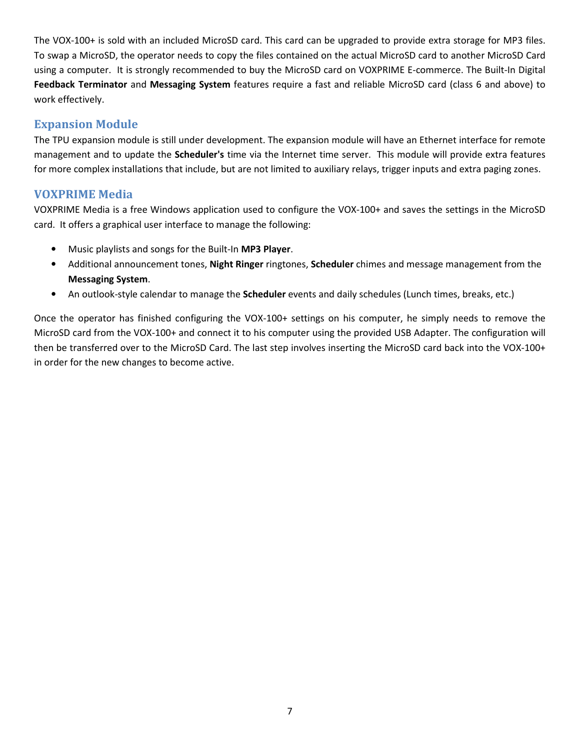The VOX-100+ is sold with an included MicroSD card. This card can be upgraded to provide extra storage for MP3 files. To swap a MicroSD, the operator needs to copy the files contained on the actual MicroSD card to another MicroSD Card using a computer. It is strongly recommended to buy the MicroSD card on VOXPRIME E-commerce. The Built-In Digital Feedback Terminator and Messaging System features require a fast and reliable MicroSD card (class 6 and above) to work effectively.

#### Expansion Module

The TPU expansion module is still under development. The expansion module will have an Ethernet interface for remote management and to update the **Scheduler's** time via the Internet time server. This module will provide extra features for more complex installations that include, but are not limited to auxiliary relays, trigger inputs and extra paging zones.

#### VOXPRIME Media

VOXPRIME Media is a free Windows application used to configure the VOX-100+ and saves the settings in the MicroSD card. It offers a graphical user interface to manage the following:

- Music playlists and songs for the Built-In MP3 Player.
- Additional announcement tones, Night Ringer ringtones, Scheduler chimes and message management from the Messaging System.
- An outlook-style calendar to manage the **Scheduler** events and daily schedules (Lunch times, breaks, etc.)

Once the operator has finished configuring the VOX-100+ settings on his computer, he simply needs to remove the MicroSD card from the VOX-100+ and connect it to his computer using the provided USB Adapter. The configuration will then be transferred over to the MicroSD Card. The last step involves inserting the MicroSD card back into the VOX-100+ in order for the new changes to become active.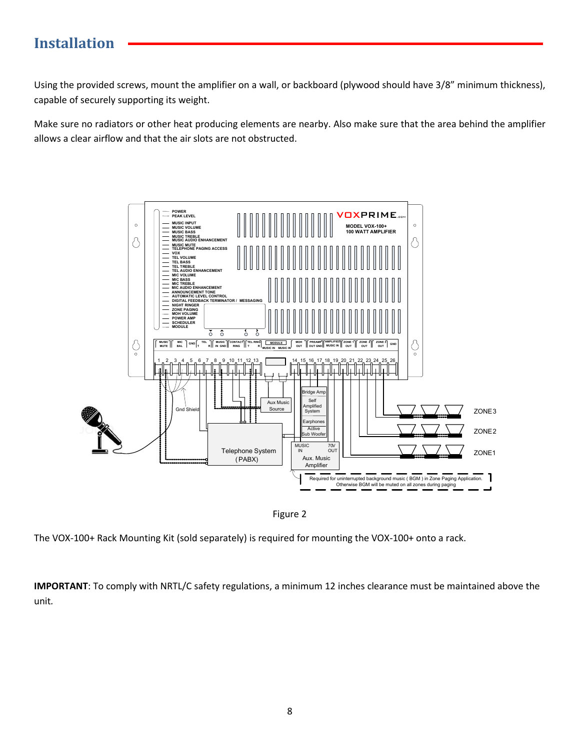## Installation

Using the provided screws, mount the amplifier on a wall, or backboard (plywood should have 3/8" minimum thickness), capable of securely supporting its weight.

Make sure no radiators or other heat producing elements are nearby. Also make sure that the area behind the amplifier allows a clear airflow and that the air slots are not obstructed.



Figure 2

The VOX-100+ Rack Mounting Kit (sold separately) is required for mounting the VOX-100+ onto a rack.

IMPORTANT: To comply with NRTL/C safety regulations, a minimum 12 inches clearance must be maintained above the unit.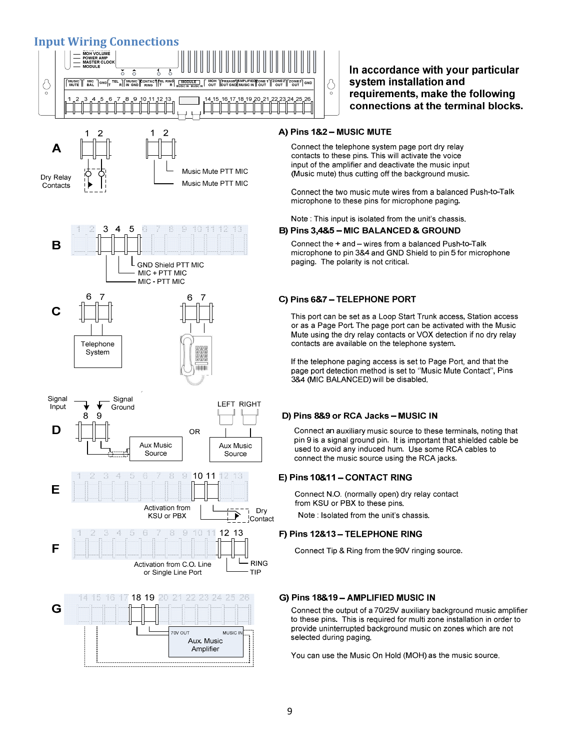#### Input Wiring Connections



Δ Music Mute PTT MIC Dry Relay Music Mute PTT MIC Contacts













#### In accordance with your particular system installation and requirements, make the following connections at the terminal blocks.

#### A) Pins 1&2 - MUSIC MUTE

Connect the telephone system page port dry relay contacts to these pins. This will activate the voice input of the amplifier and deactivate the music input (Music mute) thus cutting off the background music.

Connect the two music mute wires from a balanced Push-to-Talk microphone to these pins for microphone paging.

#### Note: This input is isolated from the unit's chassis.

#### B) Pins 3,4&5 - MIC BALANCED & GROUND

Connect the + and - wires from a balanced Push-to-Talk microphone to pin 3&4 and GND Shield to pin 5 for microphone paging. The polarity is not critical.

#### C) Pins 6&7 - TELEPHONE PORT

This port can be set as a Loop Start Trunk access, Station access or as a Page Port. The page port can be activated with the Music Mute using the dry relay contacts or VOX detection if no dry relay contacts are available on the telephone system.

If the telephone paging access is set to Page Port, and that the page port detection method is set to "Music Mute Contact". Pins 3&4 (MIC BALANCED) will be disabled.

#### D) Pins 8&9 or RCA Jacks - MUSIC IN

Connect an auxiliary music source to these terminals, noting that pin 9 is a signal ground pin. It is important that shielded cable be used to avoid any induced hum Use some RCA cables to connect the music source using the RCA jacks.

#### E) Pins 10&11 - CONTACT RING

Connect N.O. (normally open) dry relay contact from KSU or PBX to these pins.

Note : Isolated from the unit's chassis.

#### F) Pins 12&13 - TELEPHONE RING

Connect Tip & Ring from the 90V ringing source.

#### G) Pins 18&19 - AMPLIFIED MUSIC IN

Connect the output of a 70/25V auxiliary background music amplifier to these pins. This is required for multi zone installation in order to provide uninterrupted background music on zones which are not selected during paging.

You can use the Music On Hold (MOH) as the music source.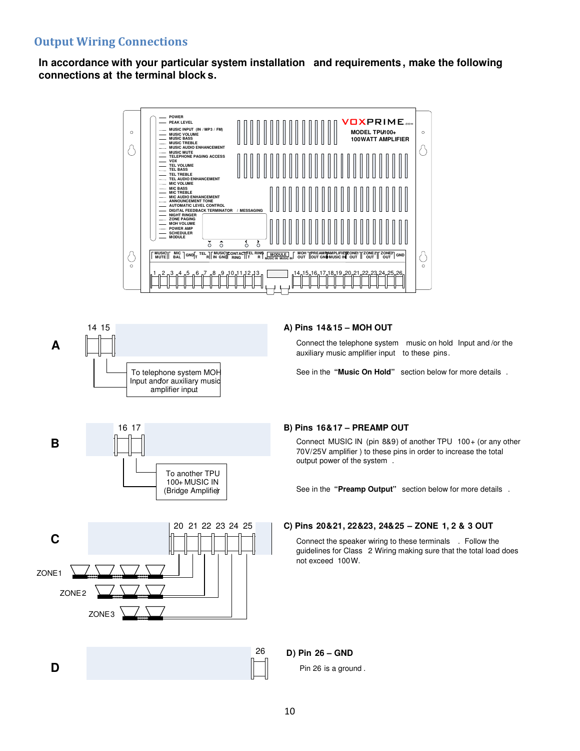#### Output Wiring Connections

**In accordance with your particular system installation and requirements , make the following connections at the terminal block s.**





16 17

**B**

**D**

#### **A) Pins 14&15 – MOH OUT**

auxiliary music amplifier input to these pins.

See in the **"Music On Hold"** section below for more details .

#### **B) Pins 16&17 – PREAMP OUT**

Connect MUSIC IN (pin 8&9) of another TPU 100+ (or any other 70V/25V amplifier ) to these pins in order to increase the total output power of the system .

See in the **"Preamp Output"** section below for more details .

#### **C) Pins 20&21, 22&23, 24&25 – ZONE 1, 2 & 3 OUT**

Connect the speaker wiring to these terminals . Follow the guidelines for Class 2 Wiring making sure that the total load does not exceed 100W.



To another TPU 100+ MUSIC IN

**D) Pin 26 – GND**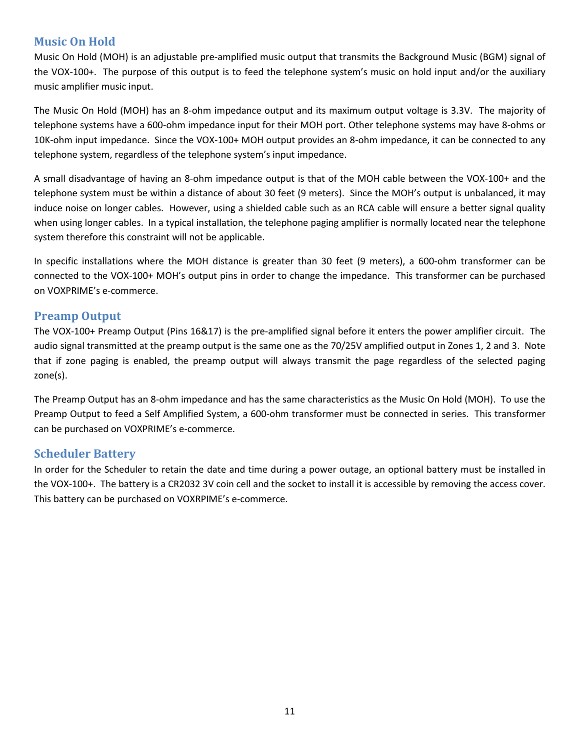#### Music On Hold

Music On Hold (MOH) is an adjustable pre-amplified music output that transmits the Background Music (BGM) signal of the VOX-100+. The purpose of this output is to feed the telephone system's music on hold input and/or the auxiliary music amplifier music input.

The Music On Hold (MOH) has an 8-ohm impedance output and its maximum output voltage is 3.3V. The majority of telephone systems have a 600-ohm impedance input for their MOH port. Other telephone systems may have 8-ohms or 10K-ohm input impedance. Since the VOX-100+ MOH output provides an 8-ohm impedance, it can be connected to any telephone system, regardless of the telephone system's input impedance.

A small disadvantage of having an 8-ohm impedance output is that of the MOH cable between the VOX-100+ and the telephone system must be within a distance of about 30 feet (9 meters). Since the MOH's output is unbalanced, it may induce noise on longer cables. However, using a shielded cable such as an RCA cable will ensure a better signal quality when using longer cables. In a typical installation, the telephone paging amplifier is normally located near the telephone system therefore this constraint will not be applicable.

In specific installations where the MOH distance is greater than 30 feet (9 meters), a 600-ohm transformer can be connected to the VOX-100+ MOH's output pins in order to change the impedance. This transformer can be purchased on VOXPRIME's e-commerce.

#### Preamp Output

The VOX-100+ Preamp Output (Pins 16&17) is the pre-amplified signal before it enters the power amplifier circuit. The audio signal transmitted at the preamp output is the same one as the 70/25V amplified output in Zones 1, 2 and 3. Note that if zone paging is enabled, the preamp output will always transmit the page regardless of the selected paging zone(s).

The Preamp Output has an 8-ohm impedance and has the same characteristics as the Music On Hold (MOH). To use the Preamp Output to feed a Self Amplified System, a 600-ohm transformer must be connected in series. This transformer can be purchased on VOXPRIME's e-commerce.

#### Scheduler Battery

In order for the Scheduler to retain the date and time during a power outage, an optional battery must be installed in the VOX-100+. The battery is a CR2032 3V coin cell and the socket to install it is accessible by removing the access cover. This battery can be purchased on VOXRPIME's e-commerce.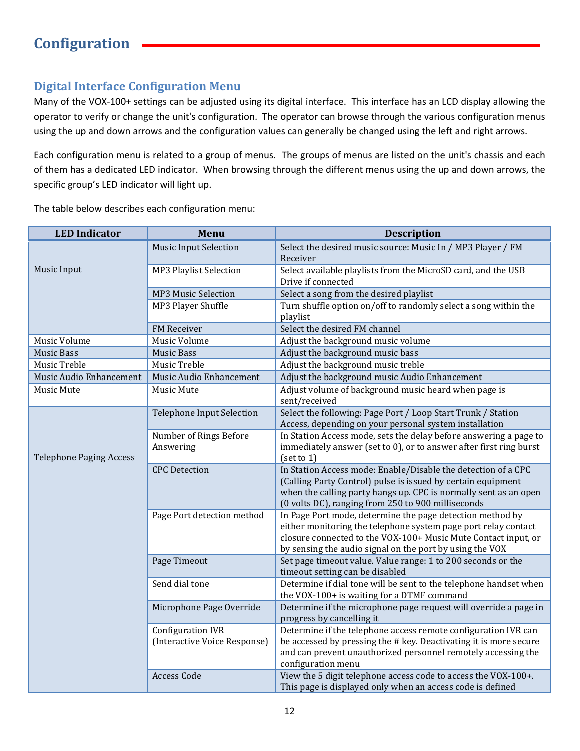#### Digital Interface Configuration Menu

Many of the VOX-100+ settings can be adjusted using its digital interface. This interface has an LCD display allowing the operator to verify or change the unit's configuration. The operator can browse through the various configuration menus using the up and down arrows and the configuration values can generally be changed using the left and right arrows.

Each configuration menu is related to a group of menus. The groups of menus are listed on the unit's chassis and each of them has a dedicated LED indicator. When browsing through the different menus using the up and down arrows, the specific group's LED indicator will light up.

The table below describes each configuration menu:

| <b>LED Indicator</b>           | Menu                                                     | <b>Description</b>                                                                                                                                                                                                                                        |
|--------------------------------|----------------------------------------------------------|-----------------------------------------------------------------------------------------------------------------------------------------------------------------------------------------------------------------------------------------------------------|
| Music Input                    | <b>Music Input Selection</b>                             | Select the desired music source: Music In / MP3 Player / FM<br>Receiver                                                                                                                                                                                   |
|                                | <b>MP3 Playlist Selection</b>                            | Select available playlists from the MicroSD card, and the USB<br>Drive if connected                                                                                                                                                                       |
|                                | <b>MP3 Music Selection</b>                               | Select a song from the desired playlist                                                                                                                                                                                                                   |
|                                | MP3 Player Shuffle                                       | Turn shuffle option on/off to randomly select a song within the<br>playlist                                                                                                                                                                               |
|                                | FM Receiver                                              | Select the desired FM channel                                                                                                                                                                                                                             |
| Music Volume                   | Music Volume                                             | Adjust the background music volume                                                                                                                                                                                                                        |
| <b>Music Bass</b>              | <b>Music Bass</b>                                        | Adjust the background music bass                                                                                                                                                                                                                          |
| Music Treble                   | Music Treble                                             | Adjust the background music treble                                                                                                                                                                                                                        |
| Music Audio Enhancement        | Music Audio Enhancement                                  | Adjust the background music Audio Enhancement                                                                                                                                                                                                             |
| Music Mute                     | Music Mute                                               | Adjust volume of background music heard when page is<br>sent/received                                                                                                                                                                                     |
|                                | <b>Telephone Input Selection</b>                         | Select the following: Page Port / Loop Start Trunk / Station<br>Access, depending on your personal system installation                                                                                                                                    |
|                                | Number of Rings Before<br>Answering                      | In Station Access mode, sets the delay before answering a page to<br>immediately answer (set to 0), or to answer after first ring burst                                                                                                                   |
| <b>Telephone Paging Access</b> |                                                          | [set to 1]                                                                                                                                                                                                                                                |
|                                | <b>CPC</b> Detection                                     | In Station Access mode: Enable/Disable the detection of a CPC<br>(Calling Party Control) pulse is issued by certain equipment<br>when the calling party hangs up. CPC is normally sent as an open<br>(0 volts DC), ranging from 250 to 900 milliseconds   |
|                                | Page Port detection method                               | In Page Port mode, determine the page detection method by<br>either monitoring the telephone system page port relay contact<br>closure connected to the VOX-100+ Music Mute Contact input, or<br>by sensing the audio signal on the port by using the VOX |
|                                | Page Timeout                                             | Set page timeout value. Value range: 1 to 200 seconds or the<br>timeout setting can be disabled                                                                                                                                                           |
|                                | Send dial tone                                           | Determine if dial tone will be sent to the telephone handset when<br>the VOX-100+ is waiting for a DTMF command                                                                                                                                           |
|                                | Microphone Page Override                                 | Determine if the microphone page request will override a page in<br>progress by cancelling it                                                                                                                                                             |
|                                | <b>Configuration IVR</b><br>(Interactive Voice Response) | Determine if the telephone access remote configuration IVR can<br>be accessed by pressing the # key. Deactivating it is more secure<br>and can prevent unauthorized personnel remotely accessing the<br>configuration menu                                |
|                                | <b>Access Code</b>                                       | View the 5 digit telephone access code to access the VOX-100+.<br>This page is displayed only when an access code is defined                                                                                                                              |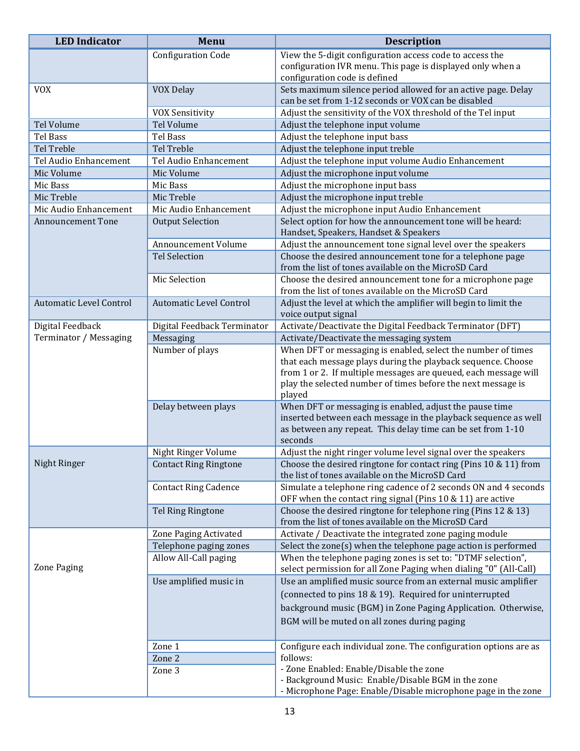| <b>LED</b> Indicator           | <b>Menu</b>                    | <b>Description</b>                                                                                                    |
|--------------------------------|--------------------------------|-----------------------------------------------------------------------------------------------------------------------|
|                                | <b>Configuration Code</b>      | View the 5-digit configuration access code to access the                                                              |
|                                |                                | configuration IVR menu. This page is displayed only when a                                                            |
|                                |                                | configuration code is defined                                                                                         |
| <b>VOX</b>                     | VOX Delay                      | Sets maximum silence period allowed for an active page. Delay<br>can be set from 1-12 seconds or VOX can be disabled  |
|                                | <b>VOX Sensitivity</b>         | Adjust the sensitivity of the VOX threshold of the Tel input                                                          |
| Tel Volume                     | Tel Volume                     | Adjust the telephone input volume                                                                                     |
| <b>Tel Bass</b>                | <b>Tel Bass</b>                | Adjust the telephone input bass                                                                                       |
| Tel Treble                     | Tel Treble                     | Adjust the telephone input treble                                                                                     |
| Tel Audio Enhancement          | Tel Audio Enhancement          | Adjust the telephone input volume Audio Enhancement                                                                   |
| Mic Volume                     | Mic Volume                     | Adjust the microphone input volume                                                                                    |
| Mic Bass                       | Mic Bass                       | Adjust the microphone input bass                                                                                      |
| Mic Treble                     | Mic Treble                     | Adjust the microphone input treble                                                                                    |
| Mic Audio Enhancement          | Mic Audio Enhancement          | Adjust the microphone input Audio Enhancement                                                                         |
| <b>Announcement Tone</b>       | <b>Output Selection</b>        | Select option for how the announcement tone will be heard:                                                            |
|                                |                                | Handset, Speakers, Handset & Speakers                                                                                 |
|                                | Announcement Volume            | Adjust the announcement tone signal level over the speakers                                                           |
|                                | <b>Tel Selection</b>           | Choose the desired announcement tone for a telephone page                                                             |
|                                |                                | from the list of tones available on the MicroSD Card                                                                  |
|                                | Mic Selection                  | Choose the desired announcement tone for a microphone page<br>from the list of tones available on the MicroSD Card    |
| <b>Automatic Level Control</b> | <b>Automatic Level Control</b> | Adjust the level at which the amplifier will begin to limit the                                                       |
|                                |                                | voice output signal                                                                                                   |
| Digital Feedback               | Digital Feedback Terminator    | Activate/Deactivate the Digital Feedback Terminator (DFT)                                                             |
| Terminator / Messaging         | Messaging                      | Activate/Deactivate the messaging system                                                                              |
|                                | Number of plays                | When DFT or messaging is enabled, select the number of times                                                          |
|                                |                                | that each message plays during the playback sequence. Choose                                                          |
|                                |                                | from 1 or 2. If multiple messages are queued, each message will                                                       |
|                                |                                | play the selected number of times before the next message is                                                          |
|                                | Delay between plays            | played<br>When DFT or messaging is enabled, adjust the pause time                                                     |
|                                |                                | inserted between each message in the playback sequence as well                                                        |
|                                |                                | as between any repeat. This delay time can be set from 1-10                                                           |
|                                |                                | seconds                                                                                                               |
|                                | Night Ringer Volume            | Adjust the night ringer volume level signal over the speakers                                                         |
| Night Ringer                   | <b>Contact Ring Ringtone</b>   | Choose the desired ringtone for contact ring (Pins 10 & 11) from                                                      |
|                                |                                | the list of tones available on the MicroSD Card                                                                       |
|                                | <b>Contact Ring Cadence</b>    | Simulate a telephone ring cadence of 2 seconds ON and 4 seconds                                                       |
|                                |                                | OFF when the contact ring signal (Pins 10 & 11) are active                                                            |
|                                | Tel Ring Ringtone              | Choose the desired ringtone for telephone ring (Pins 12 & 13)<br>from the list of tones available on the MicroSD Card |
|                                | Zone Paging Activated          | Activate / Deactivate the integrated zone paging module                                                               |
|                                | Telephone paging zones         | Select the zone(s) when the telephone page action is performed                                                        |
|                                | Allow All-Call paging          | When the telephone paging zones is set to: "DTMF selection",                                                          |
| Zone Paging                    |                                | select permission for all Zone Paging when dialing "0" (All-Call)                                                     |
|                                | Use amplified music in         | Use an amplified music source from an external music amplifier                                                        |
|                                |                                | (connected to pins 18 & 19). Required for uninterrupted                                                               |
|                                |                                | background music (BGM) in Zone Paging Application. Otherwise,                                                         |
|                                |                                | BGM will be muted on all zones during paging                                                                          |
|                                |                                |                                                                                                                       |
|                                | Zone 1                         | Configure each individual zone. The configuration options are as                                                      |
|                                | Zone 2                         | follows:                                                                                                              |
|                                | Zone 3                         | - Zone Enabled: Enable/Disable the zone                                                                               |
|                                |                                | - Background Music: Enable/Disable BGM in the zone                                                                    |
|                                |                                | - Microphone Page: Enable/Disable microphone page in the zone                                                         |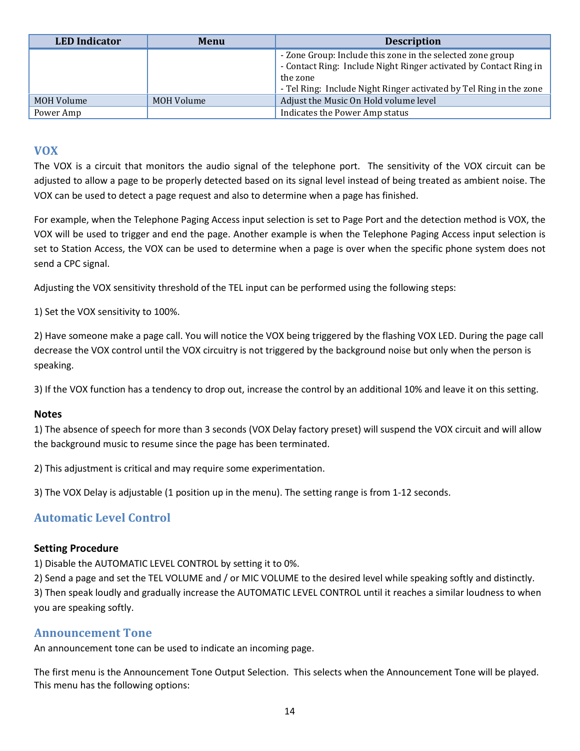| <b>LED</b> Indicator | Menu       | <b>Description</b>                                                                                                                                                                                                |
|----------------------|------------|-------------------------------------------------------------------------------------------------------------------------------------------------------------------------------------------------------------------|
|                      |            | - Zone Group: Include this zone in the selected zone group<br>- Contact Ring: Include Night Ringer activated by Contact Ring in<br>the zone<br>- Tel Ring: Include Night Ringer activated by Tel Ring in the zone |
| MOH Volume           | MOH Volume | Adjust the Music On Hold volume level                                                                                                                                                                             |
| Power Amp            |            | Indicates the Power Amp status                                                                                                                                                                                    |

#### VOX

The VOX is a circuit that monitors the audio signal of the telephone port. The sensitivity of the VOX circuit can be adjusted to allow a page to be properly detected based on its signal level instead of being treated as ambient noise. The VOX can be used to detect a page request and also to determine when a page has finished.

For example, when the Telephone Paging Access input selection is set to Page Port and the detection method is VOX, the VOX will be used to trigger and end the page. Another example is when the Telephone Paging Access input selection is set to Station Access, the VOX can be used to determine when a page is over when the specific phone system does not send a CPC signal.

Adjusting the VOX sensitivity threshold of the TEL input can be performed using the following steps:

1) Set the VOX sensitivity to 100%.

2) Have someone make a page call. You will notice the VOX being triggered by the flashing VOX LED. During the page call decrease the VOX control until the VOX circuitry is not triggered by the background noise but only when the person is speaking.

3) If the VOX function has a tendency to drop out, increase the control by an additional 10% and leave it on this setting.

#### Notes

1) The absence of speech for more than 3 seconds (VOX Delay factory preset) will suspend the VOX circuit and will allow the background music to resume since the page has been terminated.

2) This adjustment is critical and may require some experimentation.

3) The VOX Delay is adjustable (1 position up in the menu). The setting range is from 1-12 seconds.

#### Automatic Level Control

#### Setting Procedure

1) Disable the AUTOMATIC LEVEL CONTROL by setting it to 0%.

2) Send a page and set the TEL VOLUME and / or MIC VOLUME to the desired level while speaking softly and distinctly. 3) Then speak loudly and gradually increase the AUTOMATIC LEVEL CONTROL until it reaches a similar loudness to when you are speaking softly.

#### Announcement Tone

An announcement tone can be used to indicate an incoming page.

The first menu is the Announcement Tone Output Selection. This selects when the Announcement Tone will be played. This menu has the following options: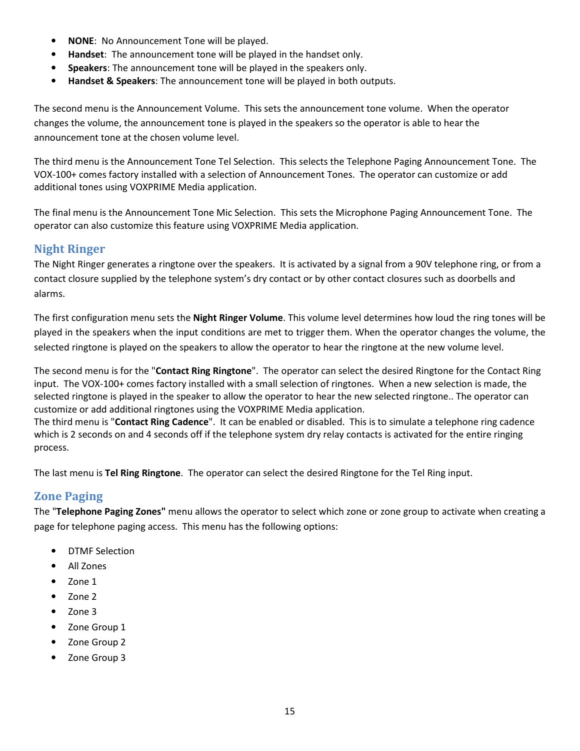- NONE: No Announcement Tone will be played.
- Handset: The announcement tone will be played in the handset only.
- Speakers: The announcement tone will be played in the speakers only.
- Handset & Speakers: The announcement tone will be played in both outputs.

The second menu is the Announcement Volume. This sets the announcement tone volume. When the operator changes the volume, the announcement tone is played in the speakers so the operator is able to hear the announcement tone at the chosen volume level.

The third menu is the Announcement Tone Tel Selection. This selects the Telephone Paging Announcement Tone. The VOX-100+ comes factory installed with a selection of Announcement Tones. The operator can customize or add additional tones using VOXPRIME Media application.

The final menu is the Announcement Tone Mic Selection. This sets the Microphone Paging Announcement Tone. The operator can also customize this feature using VOXPRIME Media application.

#### Night Ringer

The Night Ringer generates a ringtone over the speakers. It is activated by a signal from a 90V telephone ring, or from a contact closure supplied by the telephone system's dry contact or by other contact closures such as doorbells and alarms.

The first configuration menu sets the Night Ringer Volume. This volume level determines how loud the ring tones will be played in the speakers when the input conditions are met to trigger them. When the operator changes the volume, the selected ringtone is played on the speakers to allow the operator to hear the ringtone at the new volume level.

The second menu is for the "Contact Ring Ringtone". The operator can select the desired Ringtone for the Contact Ring input. The VOX-100+ comes factory installed with a small selection of ringtones. When a new selection is made, the selected ringtone is played in the speaker to allow the operator to hear the new selected ringtone.. The operator can customize or add additional ringtones using the VOXPRIME Media application.

The third menu is "Contact Ring Cadence". It can be enabled or disabled. This is to simulate a telephone ring cadence which is 2 seconds on and 4 seconds off if the telephone system dry relay contacts is activated for the entire ringing process.

The last menu is Tel Ring Ringtone. The operator can select the desired Ringtone for the Tel Ring input.

#### Zone Paging

The "Telephone Paging Zones" menu allows the operator to select which zone or zone group to activate when creating a page for telephone paging access. This menu has the following options:

- DTMF Selection
- All Zones
- Zone 1
- Zone 2
- Zone 3
- Zone Group 1
- Zone Group 2
- Zone Group 3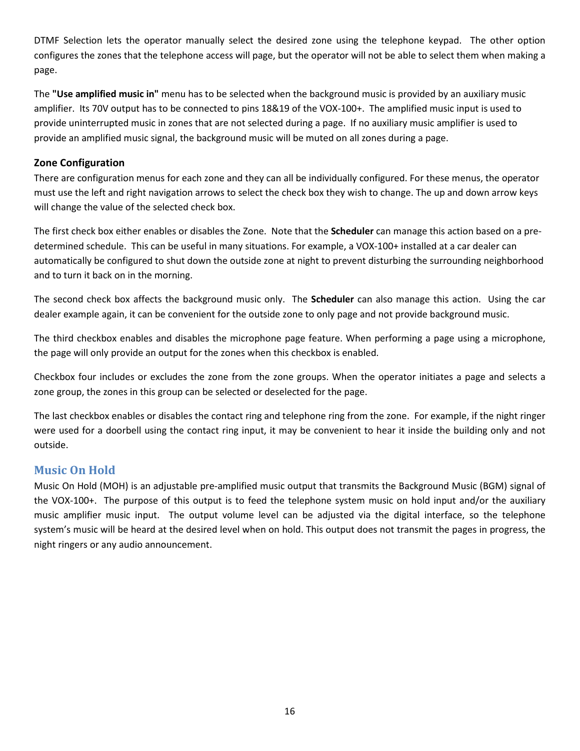DTMF Selection lets the operator manually select the desired zone using the telephone keypad. The other option configures the zones that the telephone access will page, but the operator will not be able to select them when making a page.

The "Use amplified music in" menu has to be selected when the background music is provided by an auxiliary music amplifier. Its 70V output has to be connected to pins 18&19 of the VOX-100+. The amplified music input is used to provide uninterrupted music in zones that are not selected during a page. If no auxiliary music amplifier is used to provide an amplified music signal, the background music will be muted on all zones during a page.

#### Zone Configuration

There are configuration menus for each zone and they can all be individually configured. For these menus, the operator must use the left and right navigation arrows to select the check box they wish to change. The up and down arrow keys will change the value of the selected check box.

The first check box either enables or disables the Zone. Note that the **Scheduler** can manage this action based on a predetermined schedule. This can be useful in many situations. For example, a VOX-100+ installed at a car dealer can automatically be configured to shut down the outside zone at night to prevent disturbing the surrounding neighborhood and to turn it back on in the morning.

The second check box affects the background music only. The Scheduler can also manage this action. Using the car dealer example again, it can be convenient for the outside zone to only page and not provide background music.

The third checkbox enables and disables the microphone page feature. When performing a page using a microphone, the page will only provide an output for the zones when this checkbox is enabled.

Checkbox four includes or excludes the zone from the zone groups. When the operator initiates a page and selects a zone group, the zones in this group can be selected or deselected for the page.

The last checkbox enables or disables the contact ring and telephone ring from the zone. For example, if the night ringer were used for a doorbell using the contact ring input, it may be convenient to hear it inside the building only and not outside.

#### Music On Hold

Music On Hold (MOH) is an adjustable pre-amplified music output that transmits the Background Music (BGM) signal of the VOX-100+. The purpose of this output is to feed the telephone system music on hold input and/or the auxiliary music amplifier music input. The output volume level can be adjusted via the digital interface, so the telephone system's music will be heard at the desired level when on hold. This output does not transmit the pages in progress, the night ringers or any audio announcement.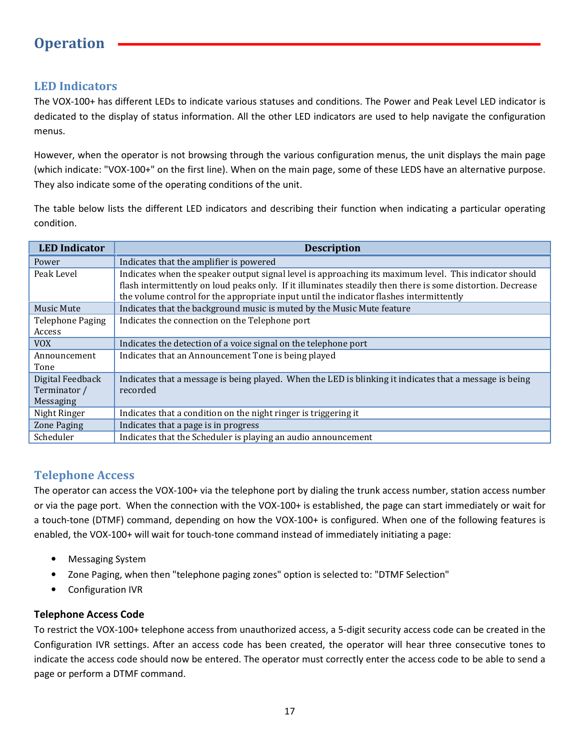## **Operation**

#### LED Indicators

The VOX-100+ has different LEDs to indicate various statuses and conditions. The Power and Peak Level LED indicator is dedicated to the display of status information. All the other LED indicators are used to help navigate the configuration menus.

However, when the operator is not browsing through the various configuration menus, the unit displays the main page (which indicate: "VOX-100+" on the first line). When on the main page, some of these LEDS have an alternative purpose. They also indicate some of the operating conditions of the unit.

The table below lists the different LED indicators and describing their function when indicating a particular operating condition.

| <b>LED</b> Indicator                          | <b>Description</b>                                                                                                                                                                                                                                                                                               |
|-----------------------------------------------|------------------------------------------------------------------------------------------------------------------------------------------------------------------------------------------------------------------------------------------------------------------------------------------------------------------|
| Power                                         | Indicates that the amplifier is powered                                                                                                                                                                                                                                                                          |
| Peak Level                                    | Indicates when the speaker output signal level is approaching its maximum level. This indicator should<br>flash intermittently on loud peaks only. If it illuminates steadily then there is some distortion. Decrease<br>the volume control for the appropriate input until the indicator flashes intermittently |
| Music Mute                                    | Indicates that the background music is muted by the Music Mute feature                                                                                                                                                                                                                                           |
| <b>Telephone Paging</b><br>Access             | Indicates the connection on the Telephone port                                                                                                                                                                                                                                                                   |
| <b>VOX</b>                                    | Indicates the detection of a voice signal on the telephone port                                                                                                                                                                                                                                                  |
| Announcement<br>Tone                          | Indicates that an Announcement Tone is being played                                                                                                                                                                                                                                                              |
| Digital Feedback<br>Terminator /<br>Messaging | Indicates that a message is being played. When the LED is blinking it indicates that a message is being<br>recorded                                                                                                                                                                                              |
| Night Ringer                                  | Indicates that a condition on the night ringer is triggering it                                                                                                                                                                                                                                                  |
| Zone Paging                                   | Indicates that a page is in progress                                                                                                                                                                                                                                                                             |
| Scheduler                                     | Indicates that the Scheduler is playing an audio announcement                                                                                                                                                                                                                                                    |

#### Telephone Access

The operator can access the VOX-100+ via the telephone port by dialing the trunk access number, station access number or via the page port. When the connection with the VOX-100+ is established, the page can start immediately or wait for a touch-tone (DTMF) command, depending on how the VOX-100+ is configured. When one of the following features is enabled, the VOX-100+ will wait for touch-tone command instead of immediately initiating a page:

- Messaging System
- Zone Paging, when then "telephone paging zones" option is selected to: "DTMF Selection"
- Configuration IVR

#### Telephone Access Code

To restrict the VOX-100+ telephone access from unauthorized access, a 5-digit security access code can be created in the Configuration IVR settings. After an access code has been created, the operator will hear three consecutive tones to indicate the access code should now be entered. The operator must correctly enter the access code to be able to send a page or perform a DTMF command.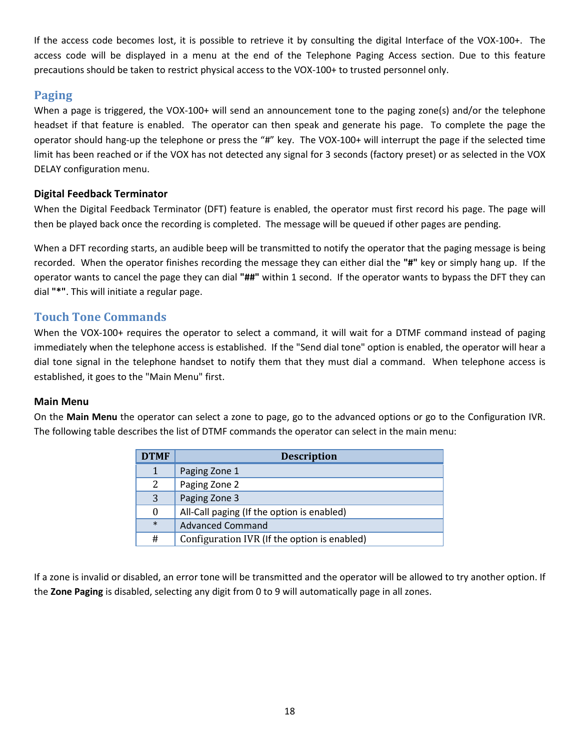If the access code becomes lost, it is possible to retrieve it by consulting the digital Interface of the VOX-100+. The access code will be displayed in a menu at the end of the Telephone Paging Access section. Due to this feature precautions should be taken to restrict physical access to the VOX-100+ to trusted personnel only.

#### Paging

When a page is triggered, the VOX-100+ will send an announcement tone to the paging zone(s) and/or the telephone headset if that feature is enabled. The operator can then speak and generate his page. To complete the page the operator should hang-up the telephone or press the "#" key. The VOX-100+ will interrupt the page if the selected time limit has been reached or if the VOX has not detected any signal for 3 seconds (factory preset) or as selected in the VOX DELAY configuration menu.

#### Digital Feedback Terminator

When the Digital Feedback Terminator (DFT) feature is enabled, the operator must first record his page. The page will then be played back once the recording is completed. The message will be queued if other pages are pending.

When a DFT recording starts, an audible beep will be transmitted to notify the operator that the paging message is being recorded. When the operator finishes recording the message they can either dial the "#" key or simply hang up. If the operator wants to cancel the page they can dial "##" within 1 second. If the operator wants to bypass the DFT they can dial "\*". This will initiate a regular page.

#### Touch Tone Commands

When the VOX-100+ requires the operator to select a command, it will wait for a DTMF command instead of paging immediately when the telephone access is established. If the "Send dial tone" option is enabled, the operator will hear a dial tone signal in the telephone handset to notify them that they must dial a command. When telephone access is established, it goes to the "Main Menu" first.

#### Main Menu

On the Main Menu the operator can select a zone to page, go to the advanced options or go to the Configuration IVR. The following table describes the list of DTMF commands the operator can select in the main menu:

| <b>DTMF</b>   | <b>Description</b>                           |
|---------------|----------------------------------------------|
| 1             | Paging Zone 1                                |
| $\mathcal{L}$ | Paging Zone 2                                |
| 3             | Paging Zone 3                                |
| 0             | All-Call paging (If the option is enabled)   |
| $\ast$        | <b>Advanced Command</b>                      |
| #             | Configuration IVR (If the option is enabled) |

If a zone is invalid or disabled, an error tone will be transmitted and the operator will be allowed to try another option. If the Zone Paging is disabled, selecting any digit from 0 to 9 will automatically page in all zones.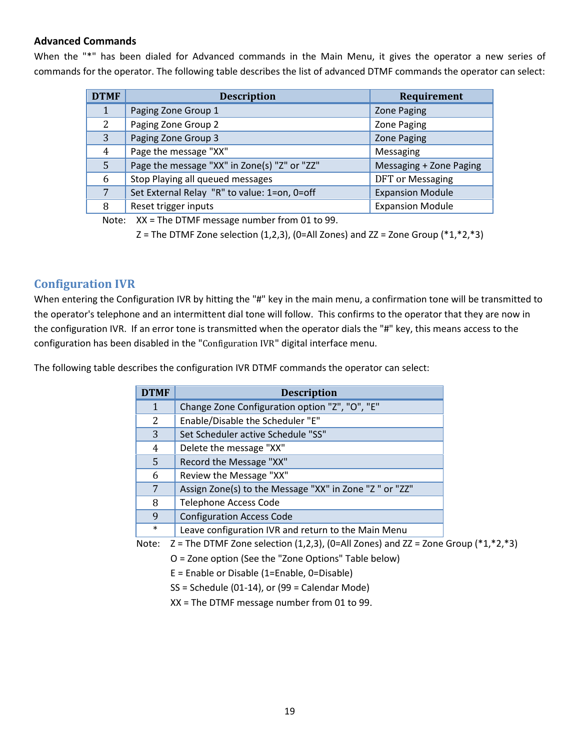#### Advanced Commands

When the "\*" has been dialed for Advanced commands in the Main Menu, it gives the operator a new series of commands for the operator. The following table describes the list of advanced DTMF commands the operator can select:

| <b>DTMF</b> | <b>Description</b>                           | Requirement             |
|-------------|----------------------------------------------|-------------------------|
| 1           | Paging Zone Group 1                          | <b>Zone Paging</b>      |
| $2^{\circ}$ | Paging Zone Group 2                          | <b>Zone Paging</b>      |
| 3           | Paging Zone Group 3                          | <b>Zone Paging</b>      |
| 4           | Page the message "XX"                        | Messaging               |
| 5           | Page the message "XX" in Zone(s) "Z" or "ZZ" | Messaging + Zone Paging |
| 6           | Stop Playing all queued messages             | <b>DFT</b> or Messaging |
| 7           | Set External Relay "R" to value: 1=on, 0=off | <b>Expansion Module</b> |
| 8           | Reset trigger inputs                         | <b>Expansion Module</b> |

Note: XX = The DTMF message number from 01 to 99.

Z = The DTMF Zone selection  $(1,2,3)$ ,  $(0=$ All Zones) and ZZ = Zone Group  $(*1, *2, *3)$ 

#### Configuration IVR

When entering the Configuration IVR by hitting the "#" key in the main menu, a confirmation tone will be transmitted to the operator's telephone and an intermittent dial tone will follow. This confirms to the operator that they are now in the configuration IVR. If an error tone is transmitted when the operator dials the "#" key, this means access to the configuration has been disabled in the "Configuration IVR" digital interface menu.

The following table describes the configuration IVR DTMF commands the operator can select:

| <b>DTMF</b> | <b>Description</b>                                     |
|-------------|--------------------------------------------------------|
| 1           | Change Zone Configuration option "Z", "O", "E"         |
| 2           | Enable/Disable the Scheduler "E"                       |
| 3           | Set Scheduler active Schedule "SS"                     |
| 4           | Delete the message "XX"                                |
| 5           | Record the Message "XX"                                |
| 6           | Review the Message "XX"                                |
| 7           | Assign Zone(s) to the Message "XX" in Zone "Z" or "ZZ" |
| 8           | <b>Telephone Access Code</b>                           |
| 9           | <b>Configuration Access Code</b>                       |
| $\ast$      | Leave configuration IVR and return to the Main Menu    |

Note:  $Z =$  The DTMF Zone selection (1,2,3), (0=All Zones) and ZZ = Zone Group ( $*1,*2,*3$ )

O = Zone option (See the "Zone Options" Table below)

E = Enable or Disable (1=Enable, 0=Disable)

 $SS = Schedule (01-14), or (99 = Calendar Mode)$ 

XX = The DTMF message number from 01 to 99.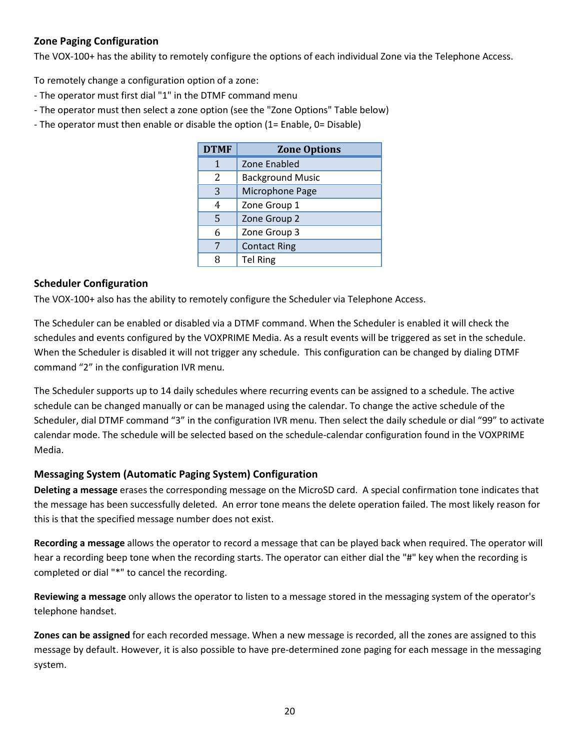#### Zone Paging Configuration

The VOX-100+ has the ability to remotely configure the options of each individual Zone via the Telephone Access.

To remotely change a configuration option of a zone:

- The operator must first dial "1" in the DTMF command menu
- The operator must then select a zone option (see the "Zone Options" Table below)
- The operator must then enable or disable the option (1= Enable, 0= Disable)

| <b>DTMF</b> | <b>Zone Options</b>     |
|-------------|-------------------------|
| 1           | Zone Enabled            |
| 2           | <b>Background Music</b> |
| 3           | Microphone Page         |
| 4           | Zone Group 1            |
| 5           | Zone Group 2            |
| 6           | Zone Group 3            |
| 7           | <b>Contact Ring</b>     |
| 8           | <b>Tel Ring</b>         |

#### Scheduler Configuration

The VOX-100+ also has the ability to remotely configure the Scheduler via Telephone Access.

The Scheduler can be enabled or disabled via a DTMF command. When the Scheduler is enabled it will check the schedules and events configured by the VOXPRIME Media. As a result events will be triggered as set in the schedule. When the Scheduler is disabled it will not trigger any schedule. This configuration can be changed by dialing DTMF command "2" in the configuration IVR menu.

The Scheduler supports up to 14 daily schedules where recurring events can be assigned to a schedule. The active schedule can be changed manually or can be managed using the calendar. To change the active schedule of the Scheduler, dial DTMF command "3" in the configuration IVR menu. Then select the daily schedule or dial "99" to activate calendar mode. The schedule will be selected based on the schedule-calendar configuration found in the VOXPRIME Media.

#### Messaging System (Automatic Paging System) Configuration

Deleting a message erases the corresponding message on the MicroSD card. A special confirmation tone indicates that the message has been successfully deleted. An error tone means the delete operation failed. The most likely reason for this is that the specified message number does not exist.

Recording a message allows the operator to record a message that can be played back when required. The operator will hear a recording beep tone when the recording starts. The operator can either dial the "#" key when the recording is completed or dial "\*" to cancel the recording.

Reviewing a message only allows the operator to listen to a message stored in the messaging system of the operator's telephone handset.

Zones can be assigned for each recorded message. When a new message is recorded, all the zones are assigned to this message by default. However, it is also possible to have pre-determined zone paging for each message in the messaging system.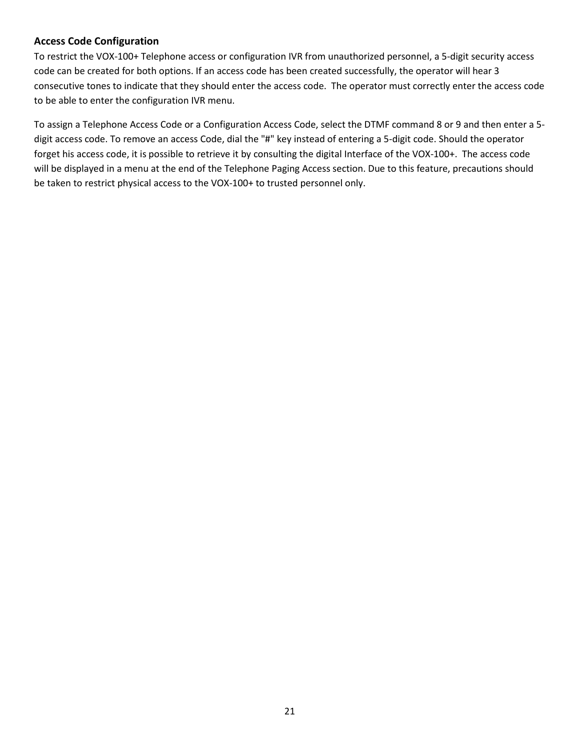#### Access Code Configuration

To restrict the VOX-100+ Telephone access or configuration IVR from unauthorized personnel, a 5-digit security access code can be created for both options. If an access code has been created successfully, the operator will hear 3 consecutive tones to indicate that they should enter the access code. The operator must correctly enter the access code to be able to enter the configuration IVR menu.

To assign a Telephone Access Code or a Configuration Access Code, select the DTMF command 8 or 9 and then enter a 5 digit access code. To remove an access Code, dial the "#" key instead of entering a 5-digit code. Should the operator forget his access code, it is possible to retrieve it by consulting the digital Interface of the VOX-100+. The access code will be displayed in a menu at the end of the Telephone Paging Access section. Due to this feature, precautions should be taken to restrict physical access to the VOX-100+ to trusted personnel only.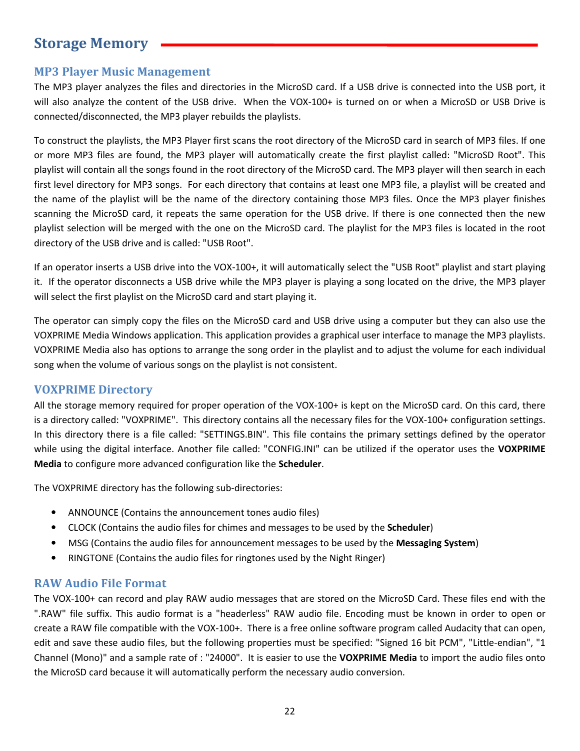## Storage Memory

#### MP3 Player Music Management

The MP3 player analyzes the files and directories in the MicroSD card. If a USB drive is connected into the USB port, it will also analyze the content of the USB drive. When the VOX-100+ is turned on or when a MicroSD or USB Drive is connected/disconnected, the MP3 player rebuilds the playlists.

To construct the playlists, the MP3 Player first scans the root directory of the MicroSD card in search of MP3 files. If one or more MP3 files are found, the MP3 player will automatically create the first playlist called: "MicroSD Root". This playlist will contain all the songs found in the root directory of the MicroSD card. The MP3 player will then search in each first level directory for MP3 songs. For each directory that contains at least one MP3 file, a playlist will be created and the name of the playlist will be the name of the directory containing those MP3 files. Once the MP3 player finishes scanning the MicroSD card, it repeats the same operation for the USB drive. If there is one connected then the new playlist selection will be merged with the one on the MicroSD card. The playlist for the MP3 files is located in the root directory of the USB drive and is called: "USB Root".

If an operator inserts a USB drive into the VOX-100+, it will automatically select the "USB Root" playlist and start playing it. If the operator disconnects a USB drive while the MP3 player is playing a song located on the drive, the MP3 player will select the first playlist on the MicroSD card and start playing it.

The operator can simply copy the files on the MicroSD card and USB drive using a computer but they can also use the VOXPRIME Media Windows application. This application provides a graphical user interface to manage the MP3 playlists. VOXPRIME Media also has options to arrange the song order in the playlist and to adjust the volume for each individual song when the volume of various songs on the playlist is not consistent.

#### VOXPRIME Directory

All the storage memory required for proper operation of the VOX-100+ is kept on the MicroSD card. On this card, there is a directory called: "VOXPRIME". This directory contains all the necessary files for the VOX-100+ configuration settings. In this directory there is a file called: "SETTINGS.BIN". This file contains the primary settings defined by the operator while using the digital interface. Another file called: "CONFIG.INI" can be utilized if the operator uses the VOXPRIME Media to configure more advanced configuration like the Scheduler.

The VOXPRIME directory has the following sub-directories:

- ANNOUNCE (Contains the announcement tones audio files)
- CLOCK (Contains the audio files for chimes and messages to be used by the **Scheduler**)
- MSG (Contains the audio files for announcement messages to be used by the Messaging System)
- RINGTONE (Contains the audio files for ringtones used by the Night Ringer)

#### RAW Audio File Format

The VOX-100+ can record and play RAW audio messages that are stored on the MicroSD Card. These files end with the ".RAW" file suffix. This audio format is a "headerless" RAW audio file. Encoding must be known in order to open or create a RAW file compatible with the VOX-100+. There is a free online software program called Audacity that can open, edit and save these audio files, but the following properties must be specified: "Signed 16 bit PCM", "Little-endian", "1 Channel (Mono)" and a sample rate of : "24000". It is easier to use the VOXPRIME Media to import the audio files onto the MicroSD card because it will automatically perform the necessary audio conversion.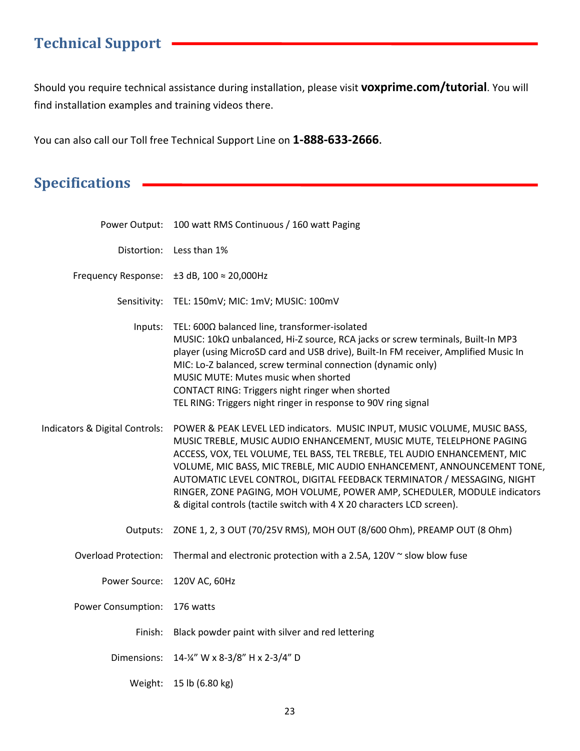## Technical Support

Should you require technical assistance during installation, please visit voxprime.com/tutorial. You will find installation examples and training videos there.

You can also call our Toll free Technical Support Line on 1-888-633-2666.

## Specifications **CONSERVICE 2012**

|                                | Power Output: 100 watt RMS Continuous / 160 watt Paging                                                                                                                                                                                                                                                                                                                                                                                                                                                                                    |
|--------------------------------|--------------------------------------------------------------------------------------------------------------------------------------------------------------------------------------------------------------------------------------------------------------------------------------------------------------------------------------------------------------------------------------------------------------------------------------------------------------------------------------------------------------------------------------------|
|                                | Distortion: Less than 1%                                                                                                                                                                                                                                                                                                                                                                                                                                                                                                                   |
|                                | Frequency Response: $\pm 3$ dB, 100 $\approx$ 20,000Hz                                                                                                                                                                                                                                                                                                                                                                                                                                                                                     |
|                                | Sensitivity: TEL: 150mV; MIC: 1mV; MUSIC: 100mV                                                                                                                                                                                                                                                                                                                                                                                                                                                                                            |
| Inputs:                        | TEL: 600Ω balanced line, transformer-isolated<br>MUSIC: 10kΩ unbalanced, Hi-Z source, RCA jacks or screw terminals, Built-In MP3<br>player (using MicroSD card and USB drive), Built-In FM receiver, Amplified Music In<br>MIC: Lo-Z balanced, screw terminal connection (dynamic only)<br>MUSIC MUTE: Mutes music when shorted<br>CONTACT RING: Triggers night ringer when shorted<br>TEL RING: Triggers night ringer in response to 90V ring signal                                                                                      |
| Indicators & Digital Controls: | POWER & PEAK LEVEL LED indicators. MUSIC INPUT, MUSIC VOLUME, MUSIC BASS,<br>MUSIC TREBLE, MUSIC AUDIO ENHANCEMENT, MUSIC MUTE, TELELPHONE PAGING<br>ACCESS, VOX, TEL VOLUME, TEL BASS, TEL TREBLE, TEL AUDIO ENHANCEMENT, MIC<br>VOLUME, MIC BASS, MIC TREBLE, MIC AUDIO ENHANCEMENT, ANNOUNCEMENT TONE,<br>AUTOMATIC LEVEL CONTROL, DIGITAL FEEDBACK TERMINATOR / MESSAGING, NIGHT<br>RINGER, ZONE PAGING, MOH VOLUME, POWER AMP, SCHEDULER, MODULE indicators<br>& digital controls (tactile switch with 4 X 20 characters LCD screen). |
| Outputs:                       | ZONE 1, 2, 3 OUT (70/25V RMS), MOH OUT (8/600 Ohm), PREAMP OUT (8 Ohm)                                                                                                                                                                                                                                                                                                                                                                                                                                                                     |
| <b>Overload Protection:</b>    | Thermal and electronic protection with a 2.5A, 120V $\sim$ slow blow fuse                                                                                                                                                                                                                                                                                                                                                                                                                                                                  |
|                                | Power Source: 120V AC, 60Hz                                                                                                                                                                                                                                                                                                                                                                                                                                                                                                                |
| <b>Power Consumption:</b>      | 176 watts                                                                                                                                                                                                                                                                                                                                                                                                                                                                                                                                  |
| Finish:                        | Black powder paint with silver and red lettering                                                                                                                                                                                                                                                                                                                                                                                                                                                                                           |
|                                | Dimensions: 14-¼" W x 8-3/8" H x 2-3/4" D                                                                                                                                                                                                                                                                                                                                                                                                                                                                                                  |
| Weight:                        | 15 lb (6.80 kg)                                                                                                                                                                                                                                                                                                                                                                                                                                                                                                                            |